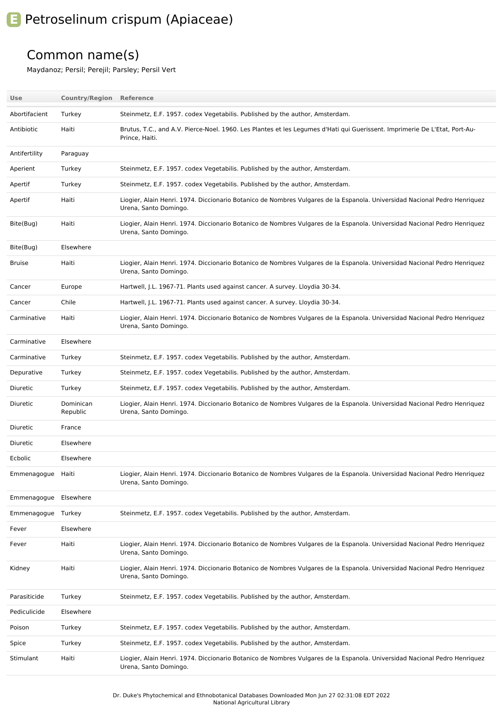## **E** Petroselinum crispum (Apiaceae)

## Common name(s)

Maydanoz; Persil; Perejil; Parsley; Persil Vert

| Use                | <b>Country/Region Reference</b> |                                                                                                                                                    |
|--------------------|---------------------------------|----------------------------------------------------------------------------------------------------------------------------------------------------|
| Abortifacient      | Turkey                          | Steinmetz, E.F. 1957. codex Vegetabilis. Published by the author, Amsterdam.                                                                       |
| Antibiotic         | Haiti                           | Brutus, T.C., and A.V. Pierce-Noel. 1960. Les Plantes et les Legumes d'Hati qui Guerissent. Imprimerie De L'Etat, Port-Au-<br>Prince. Haiti.       |
| Antifertility      | Paraguay                        |                                                                                                                                                    |
| Aperient           | Turkey                          | Steinmetz, E.F. 1957. codex Vegetabilis. Published by the author, Amsterdam.                                                                       |
| Apertif            | Turkey                          | Steinmetz, E.F. 1957. codex Vegetabilis. Published by the author, Amsterdam.                                                                       |
| Apertif            | Haiti                           | Liogier, Alain Henri. 1974. Diccionario Botanico de Nombres Vulgares de la Espanola. Universidad Nacional Pedro Henriquez<br>Urena, Santo Domingo. |
| Bite(Bug)          | Haiti                           | Liogier, Alain Henri. 1974. Diccionario Botanico de Nombres Vulgares de la Espanola. Universidad Nacional Pedro Henriquez<br>Urena, Santo Domingo. |
| Bite(Bug)          | Elsewhere                       |                                                                                                                                                    |
| <b>Bruise</b>      | Haiti                           | Liogier, Alain Henri. 1974. Diccionario Botanico de Nombres Vulgares de la Espanola. Universidad Nacional Pedro Henriquez<br>Urena, Santo Domingo. |
| Cancer             | Europe                          | Hartwell, J.L. 1967-71. Plants used against cancer. A survey. Lloydia 30-34.                                                                       |
| Cancer             | Chile                           | Hartwell, J.L. 1967-71. Plants used against cancer. A survey. Lloydia 30-34.                                                                       |
| Carminative        | Haiti                           | Liogier, Alain Henri. 1974. Diccionario Botanico de Nombres Vulgares de la Espanola. Universidad Nacional Pedro Henriquez<br>Urena, Santo Domingo. |
| Carminative        | Elsewhere                       |                                                                                                                                                    |
| Carminative        | Turkey                          | Steinmetz, E.F. 1957. codex Vegetabilis. Published by the author, Amsterdam.                                                                       |
| Depurative         | Turkey                          | Steinmetz, E.F. 1957. codex Vegetabilis. Published by the author, Amsterdam.                                                                       |
| Diuretic           | Turkey                          | Steinmetz, E.F. 1957. codex Vegetabilis. Published by the author, Amsterdam.                                                                       |
| Diuretic           | Dominican<br>Republic           | Liogier, Alain Henri. 1974. Diccionario Botanico de Nombres Vulgares de la Espanola. Universidad Nacional Pedro Henriquez<br>Urena, Santo Domingo. |
| Diuretic           | France                          |                                                                                                                                                    |
| Diuretic           | Elsewhere                       |                                                                                                                                                    |
| Ecbolic            | Elsewhere                       |                                                                                                                                                    |
| Emmenagogue Haiti  |                                 | Liogier, Alain Henri. 1974. Diccionario Botanico de Nombres Vulgares de la Espanola. Universidad Nacional Pedro Henriquez<br>Urena, Santo Domingo. |
| Emmenagogue        | Elsewhere                       |                                                                                                                                                    |
| Emmenagogue Turkey |                                 | Steinmetz, E.F. 1957. codex Vegetabilis. Published by the author, Amsterdam.                                                                       |
| Fever              | Elsewhere                       |                                                                                                                                                    |
| Fever              | Haiti                           | Liogier, Alain Henri. 1974. Diccionario Botanico de Nombres Vulgares de la Espanola. Universidad Nacional Pedro Henriquez<br>Urena, Santo Domingo. |
| Kidney             | Haiti                           | Liogier, Alain Henri. 1974. Diccionario Botanico de Nombres Vulgares de la Espanola. Universidad Nacional Pedro Henriquez<br>Urena, Santo Domingo. |
| Parasiticide       | Turkey                          | Steinmetz, E.F. 1957. codex Vegetabilis. Published by the author, Amsterdam.                                                                       |
| Pediculicide       | Elsewhere                       |                                                                                                                                                    |
| Poison             | Turkey                          | Steinmetz, E.F. 1957. codex Vegetabilis. Published by the author, Amsterdam.                                                                       |
| Spice              | Turkey                          | Steinmetz, E.F. 1957. codex Vegetabilis. Published by the author, Amsterdam.                                                                       |
| Stimulant          | Haiti                           | Liogier, Alain Henri. 1974. Diccionario Botanico de Nombres Vulgares de la Espanola. Universidad Nacional Pedro Henriquez<br>Urena, Santo Domingo. |